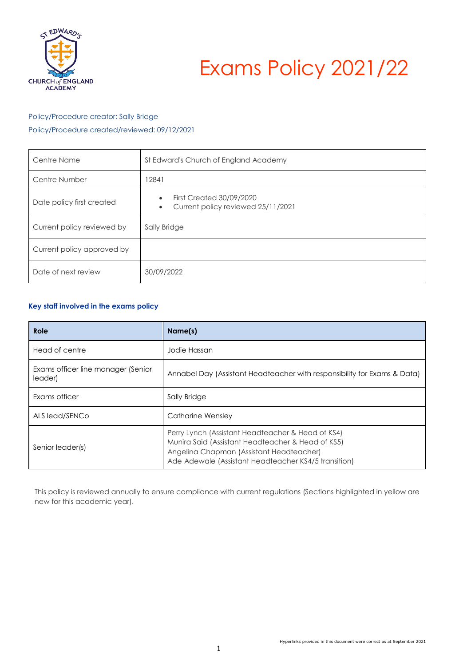

# Exams Policy 2021/22

# Policy/Procedure creator: Sally Bridge

Policy/Procedure created/reviewed: 09/12/2021

| Centre Name                | St Edward's Church of England Academy                                              |
|----------------------------|------------------------------------------------------------------------------------|
| Centre Number              | 12841                                                                              |
| Date policy first created  | <b>First Created 30/09/2020</b><br>Current policy reviewed 25/11/2021<br>$\bullet$ |
| Current policy reviewed by | Sally Bridge                                                                       |
| Current policy approved by |                                                                                    |
| Date of next review        | 30/09/2022                                                                         |

# <span id="page-0-0"></span>**Key staff involved in the exams policy**

| Role                                          | Name(s)                                                                                                                                                                                                    |  |
|-----------------------------------------------|------------------------------------------------------------------------------------------------------------------------------------------------------------------------------------------------------------|--|
| Head of centre                                | Jodie Hassan                                                                                                                                                                                               |  |
| Exams officer line manager (Senior<br>leader) | Annabel Day (Assistant Headteacher with responsibility for Exams & Data)                                                                                                                                   |  |
| Exams officer                                 | Sally Bridge                                                                                                                                                                                               |  |
| ALS lead/SENCo                                | Catharine Wensley                                                                                                                                                                                          |  |
| Senior leader(s)                              | Perry Lynch (Assistant Headteacher & Head of KS4)<br>Munira Said (Assistant Headteacher & Head of KS5)<br>Angelina Chapman (Assistant Headteacher)<br>Ade Adewale (Assistant Headteacher KS4/5 transition) |  |

<span id="page-0-1"></span>This policy is reviewed annually to ensure compliance with current regulations (Sections highlighted in yellow are new for this academic year).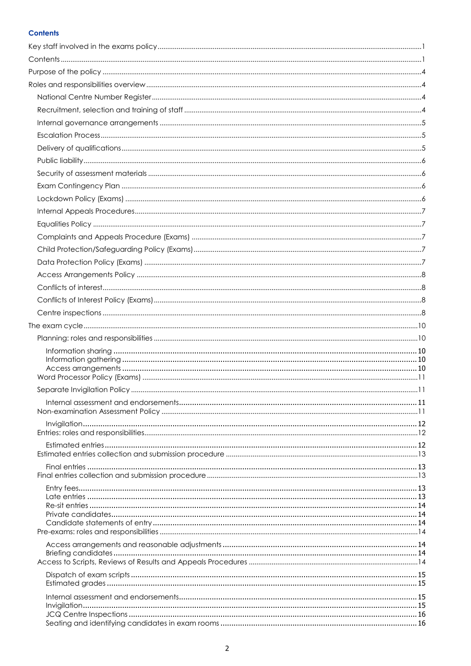# **Contents**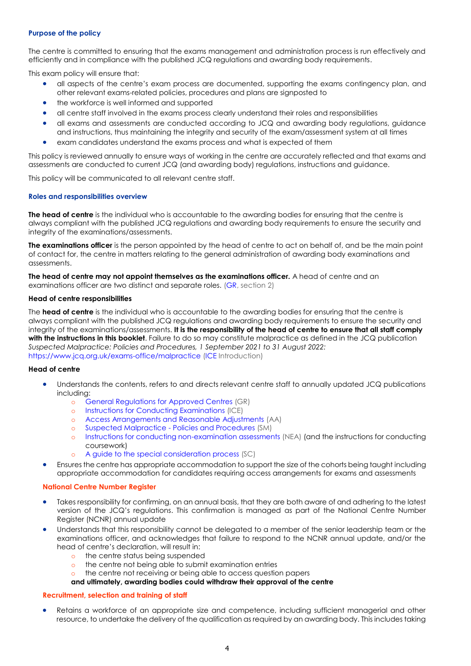## <span id="page-3-0"></span>**Purpose of the policy**

The centre is committed to ensuring that the exams management and administration process is run effectively and efficiently and in compliance with the published JCQ regulations and awarding body requirements.

This exam policy will ensure that:

- all aspects of the centre's exam process are documented, supporting the exams contingency plan, and other relevant exams-related policies, procedures and plans are signposted to
- the workforce is well informed and supported
- all centre staff involved in the exams process clearly understand their roles and responsibilities
- all exams and assessments are conducted according to JCQ and awarding body regulations, guidance and instructions, thus maintaining the integrity and security of the exam/assessment system at all times
- exam candidates understand the exams process and what is expected of them

This policy is reviewed annually to ensure ways of working in the centre are accurately reflected and that exams and assessments are conducted to current JCQ (and awarding body) regulations, instructions and guidance.

This policy will be communicated to all relevant centre staff.

#### <span id="page-3-1"></span>**Roles and responsibilities overview**

**The head of centre** is the individual who is accountable to the awarding bodies for ensuring that the centre is always compliant with the published JCQ regulations and awarding body requirements to ensure the security and integrity of the examinations/assessments.

**The examinations officer** is the person appointed by the head of centre to act on behalf of, and be the main point of contact for, the centre in matters relating to the general administration of awarding body examinations and assessments.

**The head of centre may not appoint themselves as the examinations officer.** A head of centre and an examinations officer are two distinct and separate roles. [\(GR,](http://www.jcq.org.uk/exams-office/general-regulations) section 2)

#### **Head of centre responsibilities**

The **head of centre** is the individual who is accountable to the awarding bodies for ensuring that the centre is always compliant with the published JCQ regulations and awarding body requirements to ensure the security and integrity of the examinations/assessments. **It is the responsibility of the head of centre to ensure that all staff comply with the instructions in this booklet**. Failure to do so may constitute malpractice as defined in the JCQ publication *Suspected Malpractice: Policies and Procedures, 1 September 2021 to 31 August 2022:*  <https://www.jcq.org.uk/exams-office/malpractice> [\(ICE](http://www.jcq.org.uk/exams-office/ice---instructions-for-conducting-examinations) Introduction)

#### **Head of centre**

- Understands the contents, refers to and directs relevant centre staff to annually updated JCQ publications including:
	- o [General Regulations for Approved Centres](http://www.jcq.org.uk/exams-office/general-regulations) (GR)
	- o [Instructions for Conducting Examinations](http://www.jcq.org.uk/exams-office/ice---instructions-for-conducting-examinations) (ICE)
	- o [Access Arrangements and Reasonable Adjustments](http://www.jcq.org.uk/exams-office/access-arrangements-and-special-consideration/regulations-and-guidance) (AA)
	- o Suspected Malpractice [Policies and Procedures](http://www.jcq.org.uk/exams-office/malpractice) (SM)
	- o [Instructions for conducting non-examination assessments](http://www.jcq.org.uk/exams-office/non-examination-assessments) (NEA) (and the instructions for conducting coursework)
	- o [A guide to the special consideration process](http://www.jcq.org.uk/exams-office/access-arrangements-and-special-consideration/regulations-and-guidance) (SC)
- Ensures the centre has appropriate accommodation to support the size of the cohorts being taught including appropriate accommodation for candidates requiring access arrangements for exams and assessments

#### <span id="page-3-2"></span>**National Centre Number Register**

- Takes responsibility for confirming, on an annual basis, that they are both aware of and adhering to the latest version of the JCQ's regulations. This confirmation is managed as part of the National Centre Number Register (NCNR) annual update
- Understands that this responsibility cannot be delegated to a member of the senior leadership team or the examinations officer, and acknowledges that failure to respond to the NCNR annual update, and/or the head of centre's declaration, will result in:
	- o the centre status being suspended
	- o the centre not being able to submit examination entries
	- o the centre not receiving or being able to access question papers
	- **and ultimately, awarding bodies could withdraw their approval of the centre**

#### <span id="page-3-3"></span>**Recruitment, selection and training of staff**

Retains a workforce of an appropriate size and competence, including sufficient managerial and other resource, to undertake the delivery of the qualification as required by an awarding body. This includes taking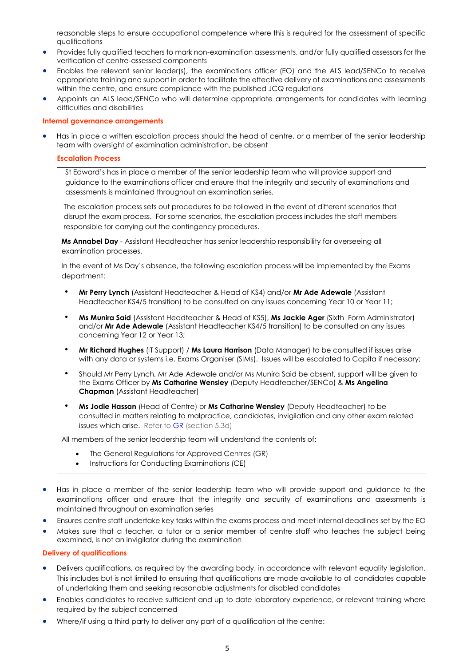reasonable steps to ensure occupational competence where this is required for the assessment of specific qualifications

- Provides fully qualified teachers to mark non-examination assessments, and/or fully qualified assessors for the verification of centre-assessed components
- Enables the relevant senior leader(s), the examinations officer (EO) and the ALS lead/SENCo to receive appropriate training and support in order to facilitate the effective delivery of examinations and assessments within the centre, and ensure compliance with the published JCQ regulations
- Appoints an ALS lead/SENCo who will determine appropriate arrangements for candidates with learning difficulties and disabilities

#### <span id="page-4-0"></span>**Internal governance arrangements**

<span id="page-4-1"></span>• Has in place a written escalation process should the head of centre, or a member of the senior leadership team with oversight of examination administration, be absent

#### **Escalation Process**

St Edward's has in place a member of the senior leadership team who will provide support and guidance to the examinations officer and ensure that the integrity and security of examinations and assessments is maintained throughout an examination series.

The escalation process sets out procedures to be followed in the event of different scenarios that disrupt the exam process. For some scenarios, the escalation process includes the staff members responsible for carrying out the contingency procedures.

**Ms Annabel Day** - Assistant Headteacher has senior leadership responsibility for overseeing all examination processes.

In the event of Ms Day's absence, the following escalation process will be implemented by the Exams department:

- **Mr Perry Lynch** (Assistant Headteacher & Head of KS4) and/or **Mr Ade Adewale** (Assistant Headteacher KS4/5 transition) to be consulted on any issues concerning Year 10 or Year 11;
- **Ms Munira Said** (Assistant Headteacher & Head of KS5), **Ms Jackie Ager** (Sixth Form Administrator) and/or **Mr Ade Adewale** (Assistant Headteacher KS4/5 transition) to be consulted on any issues concerning Year 12 or Year 13;
- **Mr Richard Hughes** (IT Support) / **Ms Laura Harrison** (Data Manager) to be consulted if issues arise with any data or systems i.e. Exams Organiser (SIMs). Issues will be escalated to Capita if necessary;
- Should Mr Perry Lynch, Mr Ade Adewale and/or Ms Munira Said be absent, support will be given to the Exams Officer by **Ms Catharine Wensley** (Deputy Headteacher/SENCo) & **Ms Angelina Chapman** (Assistant Headteacher)
- **Ms Jodie Hassan** (Head of Centre) or **Ms Catharine Wensley** (Deputy Headteacher) to be consulted in matters relating to malpractice, candidates, invigilation and any other exam related issues which arise. Refer t[o GR](http://www.jcq.org.uk/exams-office/general-regulations) (section 5.3d)

All members of the senior leadership team will understand the contents of:

- The General Regulations for Approved Centres (GR)
- Instructions for Conducting Examinations (CE)
- Has in place a member of the senior leadership team who will provide support and guidance to the examinations officer and ensure that the integrity and security of examinations and assessments is maintained throughout an examination series
- Ensures centre staff undertake key tasks within the exams process and meet internal deadlines set by the EO
- Makes sure that a teacher, a tutor or a senior member of centre staff who teaches the subject being examined, is not an invigilator during the examination

#### <span id="page-4-2"></span>**Delivery of qualifications**

- Delivers qualifications, as required by the awarding body, in accordance with relevant equality legislation. This includes but is not limited to ensuring that qualifications are made available to all candidates capable of undertaking them and seeking reasonable adjustments for disabled candidates
- Enables candidates to receive sufficient and up to date laboratory experience, or relevant training where required by the subject concerned
- Where/if using a third party to deliver any part of a qualification at the centre: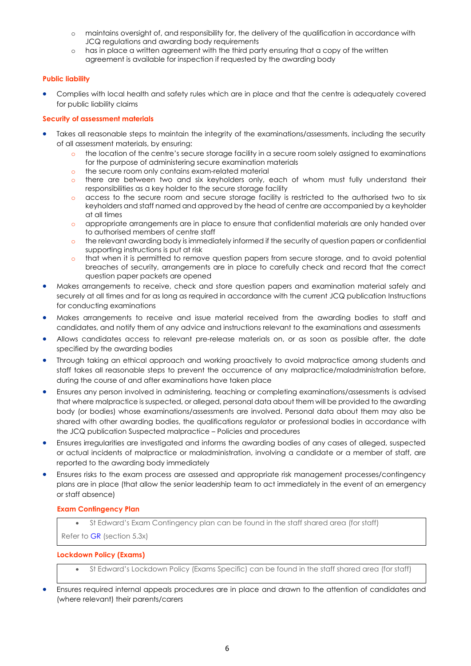- o maintains oversight of, and responsibility for, the delivery of the qualification in accordance with JCQ regulations and awarding body requirements
- o has in place a written agreement with the third party ensuring that a copy of the written agreement is available for inspection if requested by the awarding body

# <span id="page-5-0"></span>**Public liability**

• Complies with local health and safety rules which are in place and that the centre is adequately covered for public liability claims

## <span id="page-5-1"></span>**Security of assessment materials**

- Takes all reasonable steps to maintain the integrity of the examinations/assessments, including the security of all assessment materials, by ensuring:
	- o the location of the centre's secure storage facility in a secure room solely assigned to examinations for the purpose of administering secure examination materials
	- o the secure room only contains exam-related material
	- o there are between two and six keyholders only, each of whom must fully understand their responsibilities as a key holder to the secure storage facility
	- o access to the secure room and secure storage facility is restricted to the authorised two to six keyholders and staff named and approved by the head of centre are accompanied by a keyholder at all times
	- o appropriate arrangements are in place to ensure that confidential materials are only handed over to authorised members of centre staff
	- o the relevant awarding body is immediately informed if the security of question papers or confidential supporting instructions is put at risk
	- o that when it is permitted to remove question papers from secure storage, and to avoid potential breaches of security, arrangements are in place to carefully check and record that the correct question paper packets are opened
- Makes arrangements to receive, check and store question papers and examination material safely and securely at all times and for as long as required in accordance with the current JCQ publication Instructions for conducting examinations
- Makes arrangements to receive and issue material received from the awarding bodies to staff and candidates, and notify them of any advice and instructions relevant to the examinations and assessments
- Allows candidates access to relevant pre-release materials on, or as soon as possible after, the date specified by the awarding bodies
- Through taking an ethical approach and working proactively to avoid malpractice among students and staff takes all reasonable steps to prevent the occurrence of any malpractice/maladministration before, during the course of and after examinations have taken place
- Ensures any person involved in administering, teaching or completing examinations/assessments is advised that where malpractice is suspected, or alleged, personal data about them will be provided to the awarding body (or bodies) whose examinations/assessments are involved. Personal data about them may also be shared with other awarding bodies, the qualifications regulator or professional bodies in accordance with the JCQ publication Suspected malpractice – Policies and procedures
- Ensures irregularities are investigated and informs the awarding bodies of any cases of alleged, suspected or actual incidents of malpractice or maladministration, involving a candidate or a member of staff, are reported to the awarding body immediately
- Ensures risks to the exam process are assessed and appropriate risk management processes/contingency plans are in place (that allow the senior leadership team to act immediately in the event of an emergency or staff absence)

## <span id="page-5-2"></span>**Exam Contingency Plan**

• St Edward's Exam Contingency plan can be found in the staff shared area (for staff)

Refer to [GR](http://www.jcq.org.uk/exams-office/general-regulations) (section 5.3x)

## <span id="page-5-3"></span>**Lockdown Policy (Exams)**

- St Edward's Lockdown Policy (Exams Specific) can be found in the staff shared area (for staff)
- Ensures required internal appeals procedures are in place and drawn to the attention of candidates and (where relevant) their parents/carers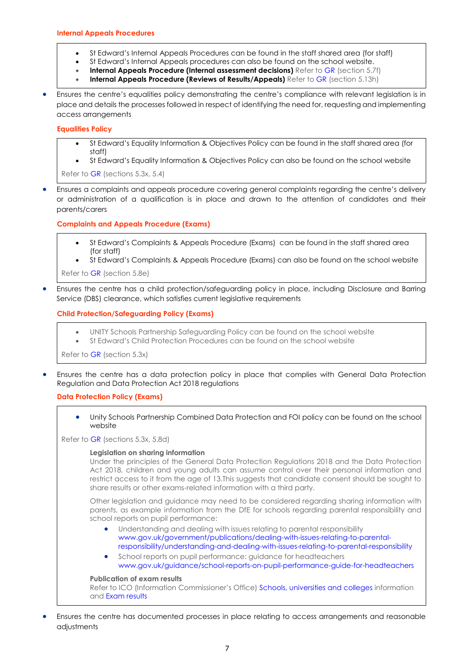- <span id="page-6-0"></span>• St Edward's Internal Appeals Procedures can be found in the staff shared area (for staff)
- St Edward's Internal Appeals procedures can also be found on the school website.
- **Internal Appeals Procedure (Internal assessment decisions)** Refer to [GR](http://www.jcq.org.uk/exams-office/general-regulations) (section 5.7f)
- **Internal Appeals Procedure (Reviews of Results/Appeals)** Refer t[o GR](http://www.jcq.org.uk/exams-office/general-regulations) (section 5.13h)
- Ensures the centre's equalities policy demonstrating the centre's compliance with relevant legislation is in place and details the processes followed in respect of identifying the need for, requesting and implementing access arrangements

## <span id="page-6-1"></span>**Equalities Policy**

- St Edward's [Equality Information & Objectives Policy](https://www.steds.org.uk/documents/equality-information-and-objectives-policy/) can be found in the staff shared area (for staff)
- St Edward's [Equality Information & Objectives Policy](https://www.steds.org.uk/documents/equality-information-and-objectives-policy/) can also be found on the school website

Refer to [GR](http://www.jcq.org.uk/exams-office/general-regulations) (sections 5.3x, 5.4)

• Ensures a complaints and appeals procedure covering general complaints regarding the centre's delivery or administration of a qualification is in place and drawn to the attention of candidates and their parents/carers

## <span id="page-6-2"></span>**Complaints and Appeals Procedure (Exams)**

- St Edward's Complaints & Appeals Procedure (Exams) can be found in the staff shared area (for staff)
- St Edward's Complaints & Appeals Procedure (Exams) can also be found on the school website

Refer to [GR](http://www.jcq.org.uk/exams-office/general-regulations) (section 5.8e)

<span id="page-6-3"></span>• Ensures the centre has a child protection/safeguarding policy in place, including Disclosure and Barring Service (DBS) clearance, which satisfies current legislative requirements

# **Child Protection/Safeguarding Policy (Exams)**

- UNITY Schools Partnership Safeguarding Policy can be found on the school website
- St Edward's Child Protection Procedures can be found on the school website

Refer to [GR](http://www.jcq.org.uk/exams-office/general-regulations) (section 5.3x)

<span id="page-6-4"></span>• Ensures the centre has a data protection policy in place that complies with General Data Protection Regulation and Data Protection Act 2018 regulations

# **Data Protection Policy (Exams)**

• Unity Schools Partnership [Combined Data Protection and FOI policy](https://www.unitysp.co.uk/documents/combined-data-protection-freedom-of-information-policy/) can be found on the school website

Refer to [GR](http://www.jcq.org.uk/exams-office/general-regulations) (sections 5.3x, 5.8d)

## **Legislation on sharing information**

Under the principles of the General Data Protection Regulations 2018 and the Data Protection Act 2018, children and young adults can assume control over their personal information and restrict access to it from the age of 13.This suggests that candidate consent should be sought to share results or other exams-related information with a third party.

Other legislation and guidance may need to be considered regarding sharing information with parents, as example information from the DfE for schools regarding parental responsibility and school reports on pupil performance:

- Understanding and dealing with issues relating to parental responsibility [www.gov.uk/government/publications/dealing-with-issues-relating-to-parental](https://www.gov.uk/government/publications/dealing-with-issues-relating-to-parental-responsibility/understanding-and-dealing-with-issues-relating-to-parental-responsibility)[responsibility/understanding-and-dealing-with-issues-relating-to-parental-responsibility](https://www.gov.uk/government/publications/dealing-with-issues-relating-to-parental-responsibility/understanding-and-dealing-with-issues-relating-to-parental-responsibility)
- School reports on pupil performance: guidance for headteachers [www.gov.uk/guidance/school-reports-on-pupil-performance-guide-for-headteachers](https://www.gov.uk/guidance/school-reports-on-pupil-performance-guide-for-headteachers)

## **Publication of exam results**

<span id="page-6-5"></span>Refer to ICO (Information Commissioner's Office) [Schools, universities and colleges](https://ico.org.uk/your-data-matters/schools/) information and [Exam results](https://ico.org.uk/your-data-matters/schools/exam-results/)

• Ensures the centre has documented processes in place relating to access arrangements and reasonable adjustments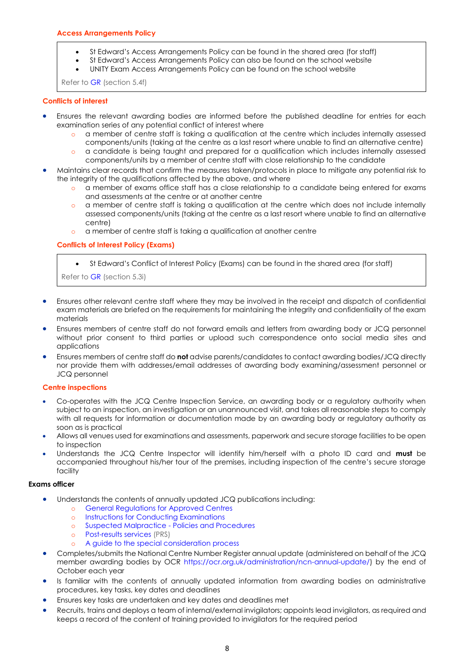- St Edward's Access Arrangements Policy can be found in the shared area (for staff)
- St Edward's Access Arrangements Policy can also be found on the school website
- UNITY Exam Access Arrangements Policy can be found on the school website

Refer to [GR](http://www.jcq.org.uk/exams-office/general-regulations) (section 5.4f)

## <span id="page-7-0"></span>**Conflicts of interest**

- Ensures the relevant awarding bodies are informed before the published deadline for entries for each examination series of any potential conflict of interest where
	- o a member of centre staff is taking a qualification at the centre which includes internally assessed components/units (taking at the centre as a last resort where unable to find an alternative centre)
	- o a candidate is being taught and prepared for a qualification which includes internally assessed components/units by a member of centre staff with close relationship to the candidate
- Maintains clear records that confirm the measures taken/protocols in place to mitigate any potential risk to the integrity of the qualifications affected by the above, and where
	- o a member of exams office staff has a close relationship to a candidate being entered for exams and assessments at the centre or at another centre
	- o a member of centre staff is taking a qualification at the centre which does not include internally assessed components/units (taking at the centre as a last resort where unable to find an alternative centre)
	- o a member of centre staff is taking a qualification at another centre

## <span id="page-7-1"></span>**Conflicts of Interest Policy (Exams)**

• St Edward's Conflict of Interest Policy (Exams) can be found in the shared area (for staff)

Refer to [GR](http://www.jcq.org.uk/exams-office/general-regulations) (section 5.3i)

- Ensures other relevant centre staff where they may be involved in the receipt and dispatch of confidential exam materials are briefed on the requirements for maintaining the integrity and confidentiality of the exam materials
- Ensures members of centre staff do not forward emails and letters from awarding body or JCQ personnel without prior consent to third parties or upload such correspondence onto social media sites and applications
- Ensures members of centre staff do **not** advise parents/candidates to contact awarding bodies/JCQ directly nor provide them with addresses/email addresses of awarding body examining/assessment personnel or JCQ personnel

## <span id="page-7-2"></span>**Centre inspections**

- Co-operates with the JCQ Centre Inspection Service, an awarding body or a regulatory authority when subject to an inspection, an investigation or an unannounced visit, and takes all reasonable steps to comply with all requests for information or documentation made by an awarding body or regulatory authority as soon as is practical
- Allows all venues used for examinations and assessments, paperwork and secure storage facilities to be open to inspection
- Understands the JCQ Centre Inspector will identify him/herself with a photo ID card and **must** be accompanied throughout his/her tour of the premises, including inspection of the centre's secure storage facility

- Understands the contents of annually updated JCQ publications including:
	- o [General Regulations for Approved Centres](http://www.jcq.org.uk/exams-office/general-regulations)
	- o [Instructions for Conducting Examinations](http://www.jcq.org.uk/exams-office/ice---instructions-for-conducting-examinations)
	- o [Suspected Malpractice -](http://www.jcq.org.uk/exams-office/malpractice) Policies and Procedures
	- o [Post-results services](http://www.jcq.org.uk/exams-office/post-results-services) (PRS)
	- o [A guide to the special consideration process](https://www.jcq.org.uk/exams-office/access-arrangements-and-special-consideration/regulations-and-guidance/)
- Completes/submits the National Centre Number Register annual update (administered on behalf of the JCQ member awarding bodies by OCR [https://ocr.org.uk/administration/ncn-annual-update/\)](https://ocr.org.uk/administration/ncn-annual-update/) by the end of October each year
- Is familiar with the contents of annually updated information from awarding bodies on administrative procedures, key tasks, key dates and deadlines
- Ensures key tasks are undertaken and key dates and deadlines met
- Recruits, trains and deploys a team of internal/external invigilators; appoints lead invigilators, as required and keeps a record of the content of training provided to invigilators for the required period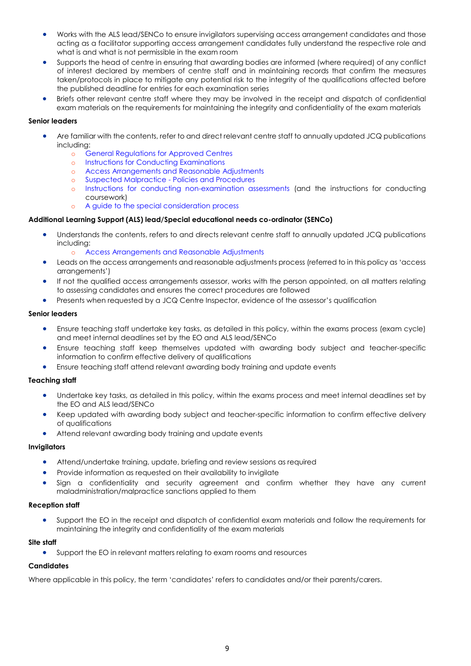- Works with the ALS lead/SENCo to ensure invigilators supervising access arrangement candidates and those acting as a facilitator supporting access arrangement candidates fully understand the respective role and what is and what is not permissible in the exam room
- Supports the head of centre in ensuring that awarding bodies are informed (where required) of any conflict of interest declared by members of centre staff and in maintaining records that confirm the measures taken/protocols in place to mitigate any potential risk to the integrity of the qualifications affected before the published deadline for entries for each examination series
- Briefs other relevant centre staff where they may be involved in the receipt and dispatch of confidential exam materials on the requirements for maintaining the integrity and confidentiality of the exam materials

## **Senior leaders**

- Are familiar with the contents, refer to and direct relevant centre staff to annually updated JCQ publications including:
	- o [General Regulations for Approved Centres](http://www.jcq.org.uk/exams-office/general-regulations)
	- o [Instructions for Conducting Examinations](http://www.jcq.org.uk/exams-office/ice---instructions-for-conducting-examinations)
	- o [Access Arrangements and Reasonable Adjustments](http://www.jcq.org.uk/exams-office/access-arrangements-and-special-consideration/regulations-and-guidance)
	- o [Suspected Malpractice -](http://www.jcq.org.uk/exams-office/malpractice) Policies and Procedures
	- o Instructions for [conducting non-examination assessments](http://www.jcq.org.uk/exams-office/non-examination-assessments) (and the instructions for conducting coursework)
	- o [A guide to the special consideration process](http://www.jcq.org.uk/exams-office/access-arrangements-and-special-consideration/regulations-and-guidance)

## **Additional Learning Support (ALS) lead/Special educational needs co-ordinator (SENCo)**

- Understands the contents, refers to and directs relevant centre staff to annually updated JCQ publications including:
	- o [Access Arrangements and Reasonable Adjustments](http://www.jcq.org.uk/exams-office/access-arrangements-and-special-consideration/regulations-and-guidance)
- Leads on the access arrangements and reasonable adjustments process (referred to in this policy as 'access arrangements')
- If not the qualified access arrangements assessor, works with the person appointed, on all matters relating to assessing candidates and ensures the correct procedures are followed
- Presents when requested by a JCQ Centre Inspector, evidence of the assessor's qualification

#### **Senior leaders**

- Ensure teaching staff undertake key tasks, as detailed in this policy, within the exams process (exam cycle) and meet internal deadlines set by the EO and ALS lead/SENCo
- Ensure teaching staff keep themselves updated with awarding body subject and teacher-specific information to confirm effective delivery of qualifications
- Ensure teaching staff attend relevant awarding body training and update events

# **Teaching staff**

- Undertake key tasks, as detailed in this policy, within the exams process and meet internal deadlines set by the EO and ALS lead/SENCo
- Keep updated with awarding body subject and teacher-specific information to confirm effective delivery of qualifications
- Attend relevant awarding body training and update events

## **Invigilators**

- Attend/undertake training, update, briefing and review sessions as required
- Provide information as requested on their availability to invigilate
- Sign a confidentiality and security agreement and confirm whether they have any current maladministration/malpractice sanctions applied to them

## **Reception staff**

• Support the EO in the receipt and dispatch of confidential exam materials and follow the requirements for maintaining the integrity and confidentiality of the exam materials

## **Site staff**

• Support the EO in relevant matters relating to exam rooms and resources

## **Candidates**

<span id="page-8-0"></span>Where applicable in this policy, the term 'candidates' refers to candidates and/or their parents/carers.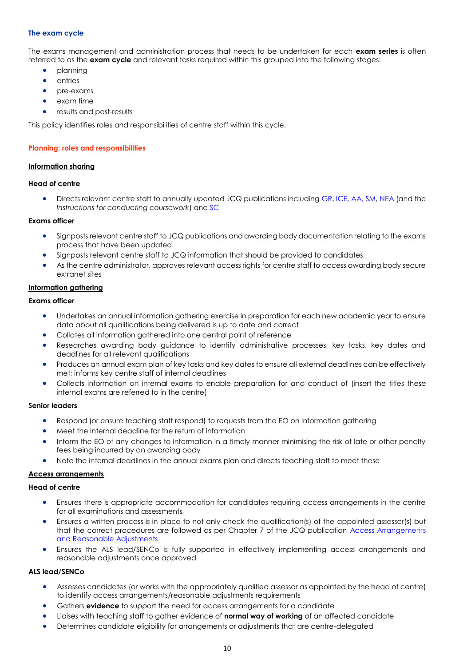#### **The exam cycle**

The exams management and administration process that needs to be undertaken for each **exam series** is often referred to as the **exam cycle** and relevant tasks required within this grouped into the following stages:

- planning
- **entries**
- pre-exams
- exam time
- results and post-results

<span id="page-9-0"></span>This policy identifies roles and responsibilities of centre staff within this cycle.

#### **Planning: roles and responsibilities**

#### <span id="page-9-1"></span>**Information sharing**

#### **Head of centre**

• Directs relevant centre staff to annually updated JCQ publications including [GR,](http://www.jcq.org.uk/exams-office/general-regulations) [ICE,](http://www.jcq.org.uk/exams-office/ice---instructions-for-conducting-examinations) [AA,](http://www.jcq.org.uk/exams-office/access-arrangements-and-special-consideration) [SM,](http://www.jcq.org.uk/exams-office/malpractice) [NEA](http://www.jcq.org.uk/exams-office/non-examination-assessments) (and the *Instructions for conducting coursework*) and [SC](http://www.jcq.org.uk/exams-office/access-arrangements-and-special-consideration/regulations-and-guidance)

## **Exams officer**

- Signposts relevant centre staff to JCQ publications and awarding body documentation relating to the exams process that have been updated
- Signposts relevant centre staff to JCQ information that should be provided to candidates
- As the centre administrator, approves relevant access rights for centre staff to access awarding body secure extranet sites

#### <span id="page-9-2"></span>**Information gathering**

# **Exams officer**

- Undertakes an annual information gathering exercise in preparation for each new academic year to ensure data about all qualifications being delivered is up to date and correct
- Collates all information gathered into one central point of reference
- Researches awarding body guidance to identify administrative processes, key tasks, key dates and deadlines for all relevant qualifications
- Produces an annual exam plan of key tasks and key dates to ensure all external deadlines can be effectively met; informs key centre staff of internal deadlines
- Collects information on internal exams to enable preparation for and conduct of (insert the titles these internal exams are referred to in the centre)

#### **Senior leaders**

- Respond (or ensure teaching staff respond) to requests from the EO on information gathering
- Meet the internal deadline for the return of information
- Inform the EO of any changes to information in a timely manner minimising the risk of late or other penalty fees being incurred by an awarding body
- Note the internal deadlines in the annual exams plan and directs teaching staff to meet these

## <span id="page-9-3"></span>**Access arrangements**

## **Head of centre**

- Ensures there is appropriate accommodation for candidates requiring access arrangements in the centre for all examinations and assessments
- Ensures a written process is in place to not only check the qualification(s) of the appointed assessor(s) but that the correct procedures are followed as per Chapter 7 of the JCQ publication [Access Arrangements](http://www.jcq.org.uk/exams-office/access-arrangements-and-special-consideration/regulations-and-guidance)  [and Reasonable Adjustments](http://www.jcq.org.uk/exams-office/access-arrangements-and-special-consideration/regulations-and-guidance)
- Ensures the ALS lead/SENCo is fully supported in effectively implementing access arrangements and reasonable adjustments once approved

# **ALS lead/SENCo**

- Assesses candidates (or works with the appropriately qualified assessor as appointed by the head of centre) to identify access arrangements/reasonable adjustments requirements
- Gathers **evidence** to support the need for access arrangements for a candidate
- Liaises with teaching staff to gather evidence of **normal way of working** of an affected candidate
- Determines candidate eligibility for arrangements or adjustments that are centre-delegated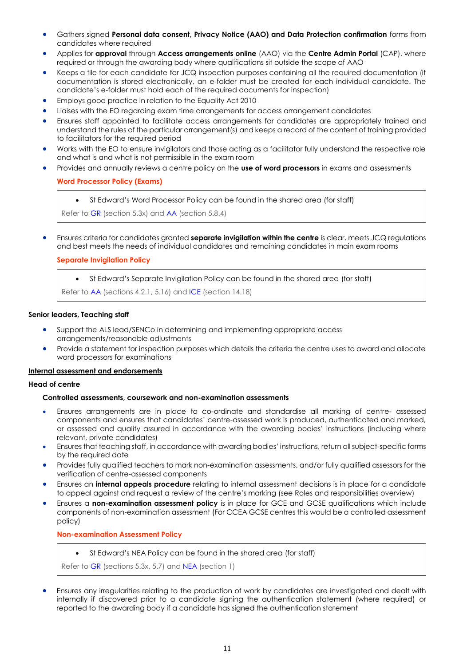- Gathers signed **Personal data consent, Privacy Notice (AAO) and Data Protection confirmation** forms from candidates where required
- Applies for **approval** through **Access arrangements online** (AAO) via the **Centre Admin Portal** (CAP), where required or through the awarding body where qualifications sit outside the scope of AAO
- Keeps a file for each candidate for JCQ inspection purposes containing all the required documentation (if documentation is stored electronically, an e-folder must be created for each individual candidate. The candidate's e-folder must hold each of the required documents for inspection)
- Employs good practice in relation to the Equality Act 2010
- Liaises with the EO regarding exam time arrangements for access arrangement candidates
- Ensures staff appointed to facilitate access arrangements for candidates are appropriately trained and understand the rules of the particular arrangement(s) and keeps a record of the content of training provided to facilitators for the required period
- Works with the EO to ensure invigilators and those acting as a facilitator fully understand the respective role and what is and what is not permissible in the exam room
- <span id="page-10-0"></span>• Provides and annually reviews a centre policy on the **use of word processors** in exams and assessments

## **Word Processor Policy (Exams)**

• St Edward's Word Processor Policy can be found in the shared area (for staff)

Refer to [GR](http://www.jcq.org.uk/exams-office/general-regulations) (section 5.3x) and [AA](http://www.jcq.org.uk/exams-office/access-arrangements-and-special-consideration) (section 5.8.4)

<span id="page-10-1"></span>• Ensures criteria for candidates granted **separate invigilation within the centre** is clear, meets JCQ regulations and best meets the needs of individual candidates and remaining candidates in main exam rooms

## **Separate Invigilation Policy**

• St Edward's Separate Invigilation Policy can be found in the shared area (for staff)

Refer to [AA](http://www.jcq.org.uk/exams-office/access-arrangements-and-special-consideration) (sections 4.2.1, 5.16) and [ICE](http://www.jcq.org.uk/exams-office/ice---instructions-for-conducting-examinations) (section 14.18)

## **Senior leaders, Teaching staff**

- Support the ALS lead/SENCo in determining and implementing appropriate access arrangements/reasonable adjustments
- Provide a statement for inspection purposes which details the criteria the centre uses to award and allocate word processors for examinations

## <span id="page-10-2"></span>**Internal assessment and endorsements**

## **Head of centre**

## **Controlled assessments, coursework and non-examination assessments**

- Ensures arrangements are in place to co-ordinate and standardise all marking of centre- assessed components and ensures that candidates' centre-assessed work is produced, authenticated and marked, or assessed and quality assured in accordance with the awarding bodies' instructions (including where relevant, private candidates)
- Ensures that teaching staff, in accordance with awarding bodies' instructions, return all subject-specific forms by the required date
- Provides fully qualified teachers to mark non-examination assessments, and/or fully qualified assessors for the verification of centre-assessed components
- Ensures an **internal appeals procedure** relating to internal assessment decisions is in place for a candidate to appeal against and request a review of the centre's marking (see Roles and responsibilities overview)
- <span id="page-10-3"></span>• Ensures a **non-examination assessment policy** is in place for GCE and GCSE qualifications which include components of non-examination assessment (For CCEA GCSE centres this would be a controlled assessment policy)

**Non-examination Assessment Policy**

• St Edward's NEA Policy can be found in the shared area (for staff)

Refer to [GR](http://www.jcq.org.uk/exams-office/general-regulations) (sections 5.3x, 5.7) and [NEA](https://www.jcq.org.uk/exams-office/non-examination-assessments) (section 1)

• Ensures any irregularities relating to the production of work by candidates are investigated and dealt with internally if discovered prior to a candidate signing the authentication statement (where required) or reported to the awarding body if a candidate has signed the authentication statement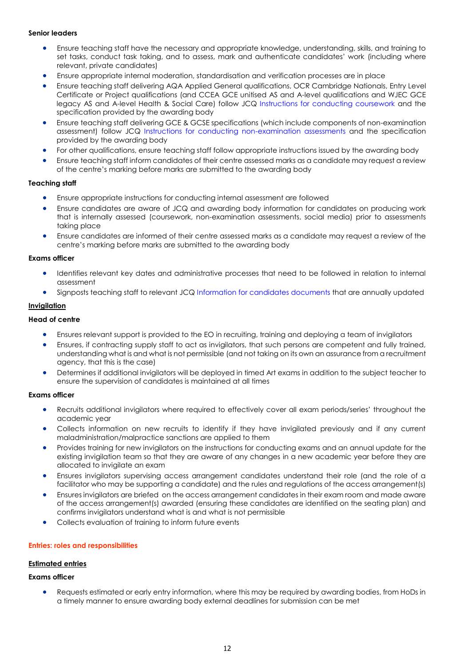## **Senior leaders**

- Ensure teaching staff have the necessary and appropriate knowledge, understanding, skills, and training to set tasks, conduct task taking, and to assess, mark and authenticate candidates' work (includina where relevant, private candidates)
- Ensure appropriate internal moderation, standardisation and verification processes are in place
- Ensure teaching staff delivering AQA Applied General qualifications, OCR Cambridge Nationals, Entry Level Certificate or Project qualifications (and CCEA GCE unitised AS and A-level qualifications and WJEC GCE legacy AS and A-level Health & Social Care) follow JCQ [Instructions for conducting coursework](http://www.jcq.org.uk/exams-office/coursework) and the specification provided by the awarding body
- Ensure teaching staff delivering GCE & GCSE specifications (which include components of non-examination assessment) follow JCQ [Instructions for conducting non-examination assessments](http://www.jcq.org.uk/exams-office/non-examination-assessments) and the specification provided by the awarding body
- For other qualifications, ensure teaching staff follow appropriate instructions issued by the awarding body
- Ensure teaching staff inform candidates of their centre assessed marks as a candidate may request a review of the centre's marking before marks are submitted to the awarding body

## **Teaching staff**

- Ensure appropriate instructions for conducting internal assessment are followed
- Ensure candidates are aware of JCQ and awarding body information for candidates on producing work that is internally assessed (coursework, non-examination assessments, social media) prior to assessments taking place
- Ensure candidates are informed of their centre assessed marks as a candidate may request a review of the centre's marking before marks are submitted to the awarding body

# **Exams officer**

- Identifies relevant key dates and administrative processes that need to be followed in relation to internal assessment
- Signposts teaching staff to relevant JCQ [Information for candidates documents](https://www.jcq.org.uk/exams-office/information-for-candidates-documents/) that are annually updated

## <span id="page-11-0"></span>**Invigilation**

#### **Head of centre**

- Ensures relevant support is provided to the EO in recruiting, training and deploying a team of invigilators
- Ensures, if contracting supply staff to act as invigilators, that such persons are competent and fully trained, understanding what is and what is not permissible (and not taking on its own an assurance from a recruitment agency, that this is the case)
- Determines if additional invigilators will be deployed in timed Art exams in addition to the subject teacher to ensure the supervision of candidates is maintained at all times

## **Exams officer**

- Recruits additional invigilators where required to effectively cover all exam periods/series' throughout the academic year
- Collects information on new recruits to identify if they have invigilated previously and if any current maladministration/malpractice sanctions are applied to them
- Provides training for new invigilators on the instructions for conducting exams and an annual update for the existing invigilation team so that they are aware of any changes in a new academic year before they are allocated to invigilate an exam
- Ensures invigilators supervising access arrangement candidates understand their role (and the role of a facilitator who may be supporting a candidate) and the rules and regulations of the access arrangement(s)
- Ensures invigilators are briefed on the access arrangement candidates in their exam room and made aware of the access arrangement(s) awarded (ensuring these candidates are identified on the seating plan) and confirms invigilators understand what is and what is not permissible
- Collects evaluation of training to inform future events

## <span id="page-11-1"></span>**Entries: roles and responsibilities**

## <span id="page-11-2"></span>**Estimated entries**

## **Exams officer**

• Requests estimated or early entry information, where this may be required by awarding bodies, from HoDs in a timely manner to ensure awarding body external deadlines for submission can be met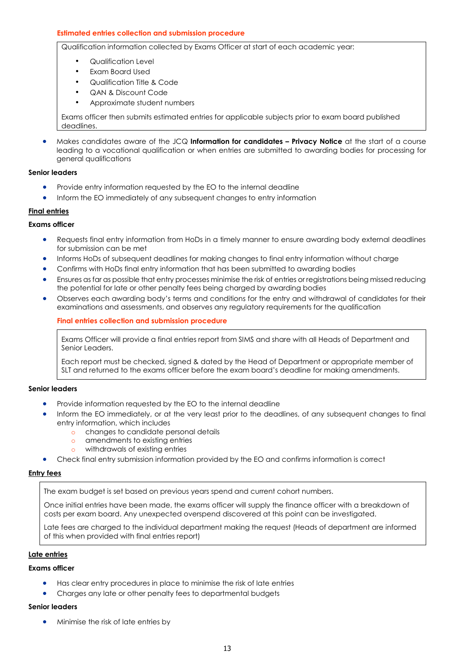## <span id="page-12-0"></span>**Estimated entries collection and submission procedure**

Qualification information collected by Exams Officer at start of each academic year:

- Qualification Level
- Exam Board Used
- Qualification Title & Code
- QAN & Discount Code
- Approximate student numbers

Exams officer then submits estimated entries for applicable subjects prior to exam board published deadlines.

• Makes candidates aware of the JCQ **Information for candidates – Privacy Notice** at the start of a course leading to a vocational qualification or when entries are submitted to awarding bodies for processing for general qualifications

#### **Senior leaders**

- Provide entry information requested by the EO to the internal deadline
- Inform the EO immediately of any subsequent changes to entry information

## <span id="page-12-1"></span>**Final entries**

## **Exams officer**

- Requests final entry information from HoDs in a timely manner to ensure awarding body external deadlines for submission can be met
- Informs HoDs of subsequent deadlines for making changes to final entry information without charge
- Confirms with HoDs final entry information that has been submitted to awarding bodies
- Ensures as far as possible that entry processes minimise the risk of entries or registrations being missed reducing the potential for late or other penalty fees being charged by awarding bodies
- <span id="page-12-2"></span>• Observes each awarding body's terms and conditions for the entry and withdrawal of candidates for their examinations and assessments, and observes any regulatory requirements for the qualification

## **Final entries collection and submission procedure**

Exams Officer will provide a final entries report from SIMS and share with all Heads of Department and Senior Leaders.

Each report must be checked, signed & dated by the Head of Department or appropriate member of SLT and returned to the exams officer before the exam board's deadline for making amendments.

## **Senior leaders**

- Provide information requested by the EO to the internal deadline
- Inform the EO immediately, or at the very least prior to the deadlines, of any subsequent changes to final entry information, which includes
	- o changes to candidate personal details
	- o amendments to existing entries
	- o withdrawals of existing entries
- Check final entry submission information provided by the EO and confirms information is correct

#### <span id="page-12-3"></span>**Entry fees**

The exam budget is set based on previous years spend and current cohort numbers.

Once initial entries have been made, the exams officer will supply the finance officer with a breakdown of costs per exam board. Any unexpected overspend discovered at this point can be investigated.

Late fees are charged to the individual department making the request (Heads of department are informed of this when provided with final entries report)

## <span id="page-12-4"></span>**Late entries**

#### **Exams officer**

- Has clear entry procedures in place to minimise the risk of late entries
- Charges any late or other penalty fees to departmental budgets

#### **Senior leaders**

• Minimise the risk of late entries by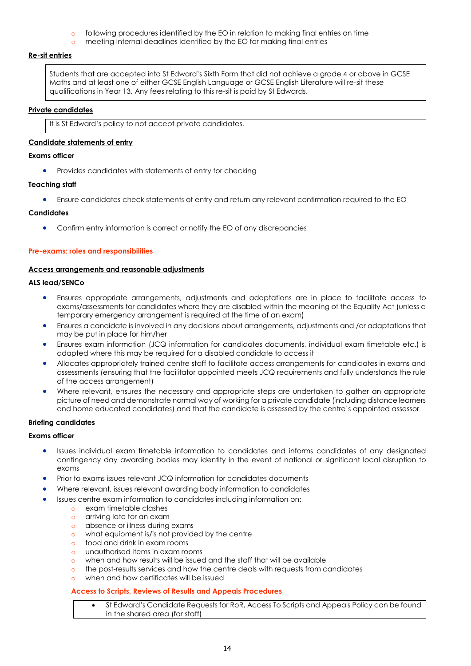- o following procedures identified by the EO in relation to making final entries on time
- meeting internal deadlines identified by the EO for making final entries

## <span id="page-13-0"></span>**Re-sit entries**

Students that are accepted into St Edward's Sixth Form that did not achieve a grade 4 or above in GCSE Maths and at least one of either GCSE English Language or GCSE English Literature will re-sit these qualifications in Year 13. Any fees relating to this re-sit is paid by St Edwards.

## <span id="page-13-1"></span>**Private candidates**

It is St Edward's policy to not accept private candidates.

# <span id="page-13-2"></span>**Candidate statements of entry**

## **Exams officer**

• Provides candidates with statements of entry for checking

## **Teaching staff**

• Ensure candidates check statements of entry and return any relevant confirmation required to the EO

## **Candidates**

• Confirm entry information is correct or notify the EO of any discrepancies

# <span id="page-13-3"></span>**Pre-exams: roles and responsibilities**

## <span id="page-13-4"></span>**Access arrangements and reasonable adjustments**

## **ALS lead/SENCo**

- Ensures appropriate arrangements, adjustments and adaptations are in place to facilitate access to exams/assessments for candidates where they are disabled within the meaning of the Equality Act (unless a temporary emergency arrangement is required at the time of an exam)
- Ensures a candidate is involved in any decisions about arrangements, adjustments and /or adaptations that may be put in place for him/her
- Ensures exam information (JCQ information for candidates documents, individual exam timetable etc.) is adapted where this may be required for a disabled candidate to access it
- Allocates appropriately trained centre staff to facilitate access arrangements for candidates in exams and assessments (ensuring that the facilitator appointed meets JCQ requirements and fully understands the rule of the access arrangement)
- Where relevant, ensures the necessary and appropriate steps are undertaken to gather an appropriate picture of need and demonstrate normal way of working for a private candidate (including distance learners and home educated candidates) and that the candidate is assessed by the centre's appointed assessor

# <span id="page-13-5"></span>**Briefing candidates**

## **Exams officer**

- Issues individual exam timetable information to candidates and informs candidates of any designated contingency day awarding bodies may identify in the event of national or significant local disruption to exams
- Prior to exams issues relevant JCQ information for candidates documents
- Where relevant, issues relevant awarding body information to candidates
- Issues centre exam information to candidates including information on:
	- o exam timetable clashes
	- o arriving late for an exam
	- o absence or illness during exams
	- o what equipment is/is not provided by the centre
	- o food and drink in exam rooms
	- o unauthorised items in exam rooms
	- o when and how results will be issued and the staff that will be available
	- o the post-results services and how the centre deals with requests from candidates
	- o when and how certificates will be issued

# <span id="page-13-6"></span>**Access to Scripts, Reviews of Results and Appeals Procedures**

• St Edward's Candidate Requests for RoR, Access To Scripts and Appeals Policy can be found in the shared area (for staff)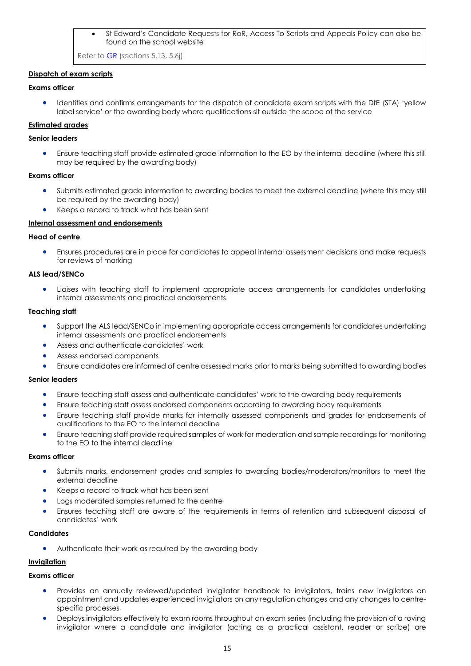## • St Edward's Candidate Requests for RoR, Access To Scripts and Appeals Policy can also be found on the school website

Refer t[o GR](http://www.jcq.org.uk/exams-office/general-regulations) (sections 5.13, 5.6j)

## <span id="page-14-0"></span>**Dispatch of exam scripts**

## **Exams officer**

• Identifies and confirms arrangements for the dispatch of candidate exam scripts with the DfE (STA) 'yellow label service' or the awarding body where qualifications sit outside the scope of the service

# <span id="page-14-1"></span>**Estimated grades**

## **Senior leaders**

• Ensure teaching staff provide estimated grade information to the EO by the internal deadline (where this still may be required by the awarding body)

## **Exams officer**

- Submits estimated grade information to awarding bodies to meet the external deadline (where this may still be required by the awarding body)
- Keeps a record to track what has been sent

## <span id="page-14-2"></span>**Internal assessment and endorsements**

## **Head of centre**

• Ensures procedures are in place for candidates to appeal internal assessment decisions and make requests for reviews of marking

## **ALS lead/SENCo**

• Liaises with teaching staff to implement appropriate access arrangements for candidates undertaking internal assessments and practical endorsements

## **Teaching staff**

- Support the ALS lead/SENCo in implementing appropriate access arrangements for candidates undertaking internal assessments and practical endorsements
- Assess and authenticate candidates' work
- Assess endorsed components
- Ensure candidates are informed of centre assessed marks prior to marks being submitted to awarding bodies

# **Senior leaders**

- Ensure teaching staff assess and authenticate candidates' work to the awarding body requirements
- Ensure teaching staff assess endorsed components according to awarding body requirements
- Ensure teaching staff provide marks for internally assessed components and grades for endorsements of qualifications to the EO to the internal deadline
- Ensure teaching staff provide required samples of work for moderation and sample recordings for monitoring to the EO to the internal deadline

## **Exams officer**

- Submits marks, endorsement grades and samples to awarding bodies/moderators/monitors to meet the external deadline
- Keeps a record to track what has been sent
- Logs moderated samples returned to the centre
- Ensures teaching staff are aware of the requirements in terms of retention and subsequent disposal of candidates' work

## **Candidates**

• Authenticate their work as required by the awarding body

## <span id="page-14-3"></span>**Invigilation**

- Provides an annually reviewed/updated invigilator handbook to invigilators, trains new invigilators on appointment and updates experienced invigilators on any regulation changes and any changes to centrespecific processes
- Deploys invigilators effectively to exam rooms throughout an exam series (including the provision of a roving invigilator where a candidate and invigilator (acting as a practical assistant, reader or scribe) are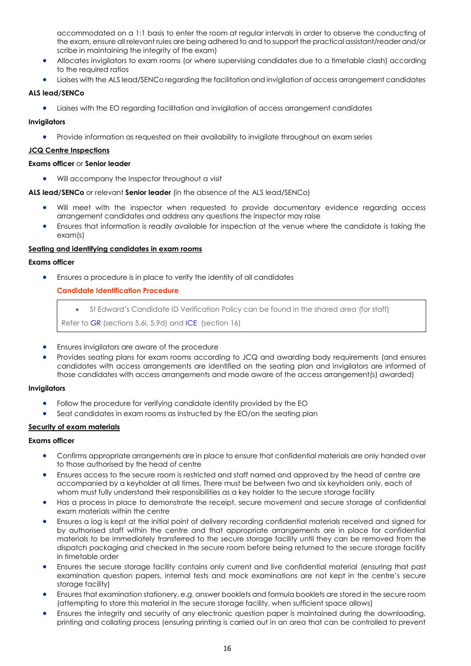accommodated on a 1:1 basis to enter the room at regular intervals in order to observe the conducting of the exam, ensure all relevant rules are being adhered to and to support the practical assistant/reader and/or scribe in maintaining the integrity of the exam)

- Allocates invigilators to exam rooms (or where supervising candidates due to a timetable clash) according to the required ratios
- Liaises with the ALS lead/SENCo regarding the facilitation and invigilation of access arrangement candidates

# **ALS lead/SENCo**

• Liaises with the EO regarding facilitation and invigilation of access arrangement candidates

# **Invigilators**

• Provide information as requested on their availability to invigilate throughout an exam series

## <span id="page-15-0"></span>**JCQ Centre Inspections**

## **Exams officer** or **Senior leader**

• Will accompany the Inspector throughout a visit

## **ALS lead/SENCo** or relevant **Senior leader** (in the absence of the ALS lead/SENCo)

- Will meet with the inspector when requested to provide documentary evidence regarding access arrangement candidates and address any questions the inspector may raise
- Ensures that information is readily available for inspection at the venue where the candidate is taking the exam(s)

## <span id="page-15-1"></span>**Seating and identifying candidates in exam rooms**

## **Exams officer**

<span id="page-15-2"></span>• Ensures a procedure is in place to verify the identity of all candidates

# **Candidate Identification Procedure**

• St Edward's Candidate ID Verification Policy can be found in the shared area (for staff)

Refer to [GR](http://www.jcq.org.uk/exams-office/general-regulations) (sections 5.6i, 5.9d) and [ICE](http://www.jcq.org.uk/exams-office/ice---instructions-for-conducting-examinations) (section 16)

- Ensures invigilators are aware of the procedure
- Provides seating plans for exam rooms according to JCQ and awarding body requirements (and ensures candidates with access arrangements are identified on the seating plan and invigilators are informed of those candidates with access arrangements and made aware of the access arrangement(s) awarded)

## **Invigilators**

- Follow the procedure for verifying candidate identity provided by the EO
- Seat candidates in exam rooms as instructed by the EO/on the seating plan

# <span id="page-15-3"></span>**Security of exam materials**

- Confirms appropriate arrangements are in place to ensure that confidential materials are only handed over to those authorised by the head of centre
- Ensures access to the secure room is restricted and staff named and approved by the head of centre are accompanied by a keyholder at all times. There must be between two and six keyholders only, each of whom must fully understand their responsibilities as a key holder to the secure storage facility
- Has a process in place to demonstrate the receipt, secure movement and secure storage of confidential exam materials within the centre
- Ensures a log is kept at the initial point of delivery recording confidential materials received and signed for by authorised staff within the centre and that appropriate arrangements are in place for confidential materials to be immediately transferred to the secure storage facility until they can be removed from the dispatch packaging and checked in the secure room before being returned to the secure storage facility in timetable order
- Ensures the secure storage facility contains only current and live confidential material (ensuring that past examination question papers, internal tests and mock examinations are not kept in the centre's secure storage facility)
- Ensures that examination stationery, e.g. answer booklets and formula booklets are stored in the secure room (attempting to store this material in the secure storage facility, when sufficient space allows)
- Ensures the integrity and security of any electronic question paper is maintained during the downloading, printing and collating process (ensuring printing is carried out in an area that can be controlled to prevent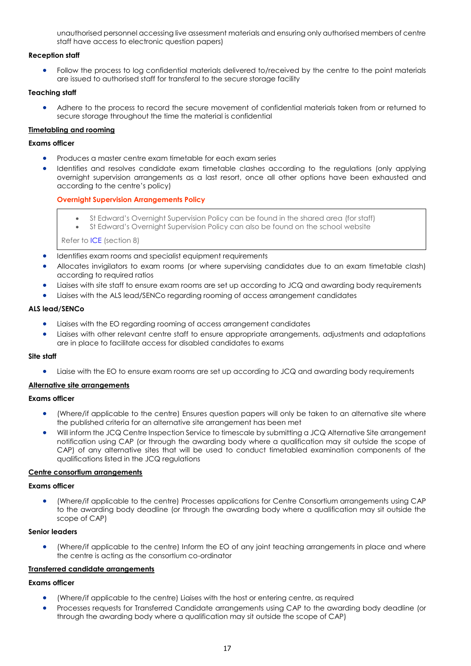unauthorised personnel accessing live assessment materials and ensuring only authorised members of centre staff have access to electronic question papers)

## **Reception staff**

• Follow the process to log confidential materials delivered to/received by the centre to the point materials are issued to authorised staff for transferal to the secure storage facility

## **Teaching staff**

• Adhere to the process to record the secure movement of confidential materials taken from or returned to secure storage throughout the time the material is confidential

## <span id="page-16-0"></span>**Timetabling and rooming**

## **Exams officer**

- Produces a master centre exam timetable for each exam series
- Identifies and resolves candidate exam timetable clashes according to the regulations (only applying overnight supervision arrangements as a last resort, once all other options have been exhausted and according to the centre's policy)

## <span id="page-16-1"></span>**Overnight Supervision Arrangements Policy**

- St Edward's Overnight Supervision Policy can be found in the shared area (for staff)
	- St Edward's Overnight Supervision Policy can also be found on the school website

Refer to [ICE](http://www.jcq.org.uk/exams-office/ice---instructions-for-conducting-examinations) (section 8)

- Identifies exam rooms and specialist equipment requirements
- Allocates invigilators to exam rooms (or where supervising candidates due to an exam timetable clash) according to required ratios
- Liaises with site staff to ensure exam rooms are set up according to JCQ and awarding body requirements
- Liaises with the ALS lead/SENCo regarding rooming of access arrangement candidates

## **ALS lead/SENCo**

- Liaises with the EO regarding rooming of access arrangement candidates
- Liaises with other relevant centre staff to ensure appropriate arrangements, adjustments and adaptations are in place to facilitate access for disabled candidates to exams

## **Site staff**

• Liaise with the EO to ensure exam rooms are set up according to JCQ and awarding body requirements

# <span id="page-16-2"></span>**Alternative site arrangements**

## **Exams officer**

- (Where/if applicable to the centre) Ensures question papers will only be taken to an alternative site where the published criteria for an alternative site arrangement has been met
- Will inform the JCQ Centre Inspection Service to timescale by submitting a JCQ Alternative Site arrangement notification using CAP (or through the awarding body where a qualification may sit outside the scope of CAP) of any alternative sites that will be used to conduct timetabled examination components of the qualifications listed in the JCQ regulations

## <span id="page-16-3"></span>**Centre consortium arrangements**

## **Exams officer**

• (Where/if applicable to the centre) Processes applications for Centre Consortium arrangements using CAP to the awarding body deadline (or through the awarding body where a qualification may sit outside the scope of CAP)

## **Senior leaders**

• (Where/if applicable to the centre) Inform the EO of any joint teaching arrangements in place and where the centre is acting as the consortium co-ordinator

# <span id="page-16-4"></span>**Transferred candidate arrangements**

- (Where/if applicable to the centre) Liaises with the host or entering centre, as required
- Processes requests for Transferred Candidate arrangements using CAP to the awarding body deadline (or through the awarding body where a qualification may sit outside the scope of CAP)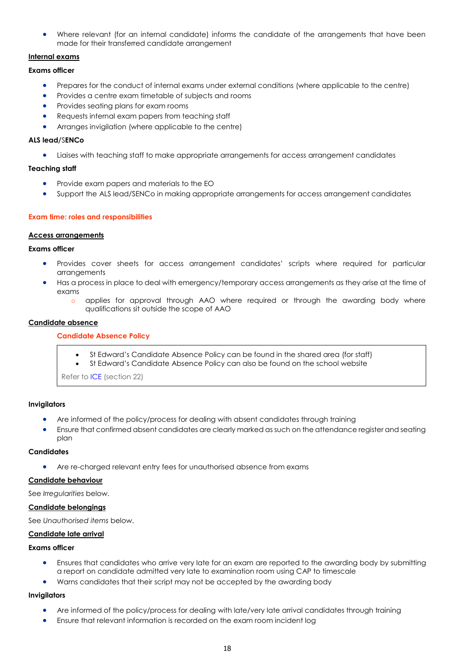• Where relevant (for an internal candidate) informs the candidate of the arrangements that have been made for their transferred candidate arrangement

# <span id="page-17-0"></span>**Internal exams**

**Exams officer**

- Prepares for the conduct of internal exams under external conditions (where applicable to the centre)
- Provides a centre exam timetable of subjects and rooms
- Provides seating plans for exam rooms
- Requests internal exam papers from teaching staff
- Arranges invigilation (where applicable to the centre)

## **ALS lead/**S**ENCo**

• Liaises with teaching staff to make appropriate arrangements for access arrangement candidates

# **Teaching staff**

- Provide exam papers and materials to the EO
- Support the ALS lead/SENCo in making appropriate arrangements for access arrangement candidates

## <span id="page-17-1"></span>**Exam time: roles and responsibilities**

## <span id="page-17-2"></span>**Access arrangements**

## **Exams officer**

- Provides cover sheets for access arrangement candidates' scripts where required for particular arrangements
- Has a process in place to deal with emergency/temporary access arrangements as they arise at the time of exams
	- applies for approval through AAO where required or through the awarding body where qualifications sit outside the scope of AAO

## <span id="page-17-4"></span><span id="page-17-3"></span>**Candidate absence**

# **Candidate Absence Policy**

- St Edward's Candidate Absence Policy can be found in the shared area (for staff)
- St Edward's Candidate Absence Policy can also be found on the school website

Refer to [ICE](http://www.jcq.org.uk/exams-office/ice---instructions-for-conducting-examinations) (section 22)

## **Invigilators**

- Are informed of the policy/process for dealing with absent candidates through training
- Ensure that confirmed absent candidates are clearly marked as such on the attendance register and seating plan

## **Candidates**

• Are re-charged relevant entry fees for unauthorised absence from exams

## <span id="page-17-5"></span>**Candidate behaviour**

See *Irregularities* below.

## <span id="page-17-6"></span>**Candidate belongings**

See *Unauthorised items* below.

## <span id="page-17-7"></span>**Candidate late arrival**

## **Exams officer**

- Ensures that candidates who arrive very late for an exam are reported to the awarding body by submitting a report on candidate admitted very late to examination room using CAP to timescale
- Warns candidates that their script may not be accepted by the awarding body

## **Invigilators**

- Are informed of the policy/process for dealing with late/very late arrival candidates through training
- Ensure that relevant information is recorded on the exam room incident log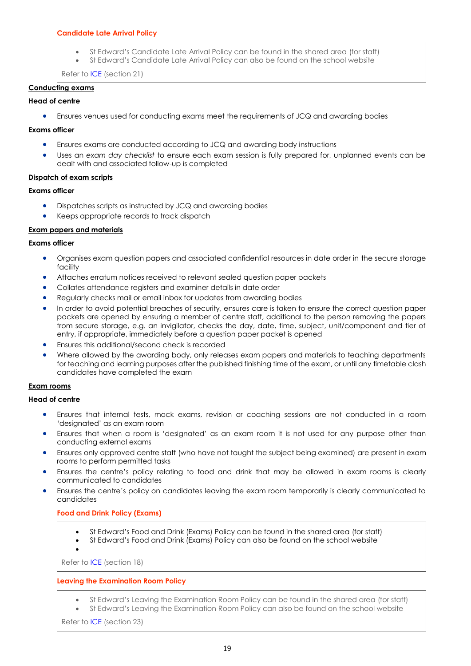# <span id="page-18-0"></span>**Candidate Late Arrival Policy**

- St Edward's Candidate Late Arrival Policy can be found in the shared area (for staff)
	- St Edward's Candidate Late Arrival Policy can also be found on the school website

Refer to [ICE](http://www.jcq.org.uk/exams-office/ice---instructions-for-conducting-examinations) (section 21)

## <span id="page-18-1"></span>**Conducting exams**

## **Head of centre**

• Ensures venues used for conducting exams meet the requirements of JCQ and awarding bodies

## **Exams officer**

- Ensures exams are conducted according to JCQ and awarding body instructions
- Uses an *exam day checklist* to ensure each exam session is fully prepared for, unplanned events can be dealt with and associated follow-up is completed

## <span id="page-18-2"></span>**Dispatch of exam scripts**

## **Exams officer**

- Dispatches scripts as instructed by JCQ and awarding bodies
- Keeps appropriate records to track dispatch

## <span id="page-18-3"></span>**Exam papers and materials**

# **Exams officer**

- Organises exam question papers and associated confidential resources in date order in the secure storage facility
- Attaches erratum notices received to relevant sealed question paper packets
- Collates attendance registers and examiner details in date order
- Regularly checks mail or email inbox for updates from awarding bodies
- In order to avoid potential breaches of security, ensures care is taken to ensure the correct question paper packets are opened by ensuring a member of centre staff, additional to the person removing the papers from secure storage, e.g. an invigilator, checks the day, date, time, subject, unit/component and tier of entry, if appropriate, immediately before a question paper packet is opened
- Ensures this additional/second check is recorded
- Where allowed by the awarding body, only releases exam papers and materials to teaching departments for teaching and learning purposes after the published finishing time of the exam, or until any timetable clash candidates have completed the exam

## <span id="page-18-4"></span>**Exam rooms**

## **Head of centre**

- Ensures that internal tests, mock exams, revision or coaching sessions are not conducted in a room 'designated' as an exam room
- Ensures that when a room is 'designated' as an exam room it is not used for any purpose other than conducting external exams
- Ensures only approved centre staff (who have not taught the subject being examined) are present in exam rooms to perform permitted tasks
- Ensures the centre's policy relating to food and drink that may be allowed in exam rooms is clearly communicated to candidates
- <span id="page-18-5"></span>• Ensures the centre's policy on candidates leaving the exam room temporarily is clearly communicated to candidates

## **Food and Drink Policy (Exams)**

- St Edward's Food and Drink (Exams) Policy can be found in the shared area (for staff)
- St Edward's Food and Drink (Exams) Policy can also be found on the school website
- •

Refer to [ICE](http://www.jcq.org.uk/exams-office/ice---instructions-for-conducting-examinations) (section 18)

# <span id="page-18-6"></span>**Leaving the Examination Room Policy**

- St Edward's Leaving the Examination Room Policy can be found in the shared area (for staff)
- St Edward's Leaving the Examination Room Policy can also be found on the school website

Refer to [ICE](http://www.jcq.org.uk/exams-office/ice---instructions-for-conducting-examinations) (section 23)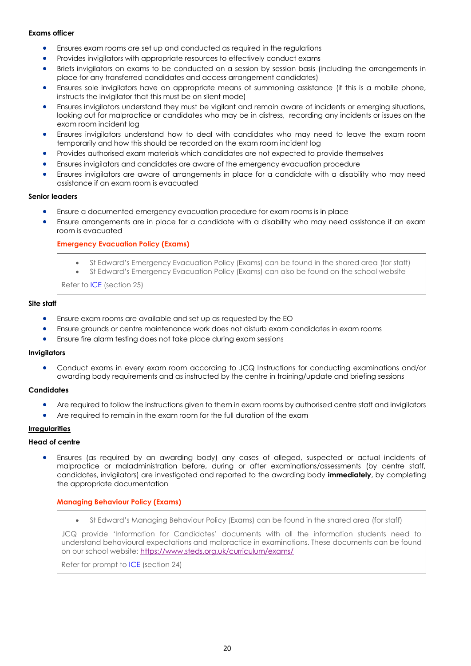## **Exams officer**

- Ensures exam rooms are set up and conducted as required in the regulations
- Provides invigilators with appropriate resources to effectively conduct exams
- Briefs invigilators on exams to be conducted on a session by session basis (including the arrangements in place for any transferred candidates and access arrangement candidates)
- Ensures sole invigilators have an appropriate means of summoning assistance (if this is a mobile phone, instructs the invigilator that this must be on silent mode)
- Ensures invigilators understand they must be vigilant and remain aware of incidents or emerging situations, looking out for malpractice or candidates who may be in distress, recording any incidents or issues on the exam room incident log
- Ensures invigilators understand how to deal with candidates who may need to leave the exam room temporarily and how this should be recorded on the exam room incident log
- Provides authorised exam materials which candidates are not expected to provide themselves
- Ensures invigilators and candidates are aware of the emergency evacuation procedure
- Ensures invigilators are aware of arrangements in place for a candidate with a disability who may need assistance if an exam room is evacuated

## **Senior leaders**

- Ensure a documented emergency evacuation procedure for exam rooms is in place
- <span id="page-19-0"></span>• Ensure arrangements are in place for a candidate with a disability who may need assistance if an exam room is evacuated

## **Emergency Evacuation Policy (Exams)**

- St Edward's Emergency Evacuation Policy (Exams) can be found in the shared area (for staff)
- St Edward's Emergency Evacuation Policy (Exams) can also be found on the school website

Refer to [ICE](http://www.jcq.org.uk/exams-office/ice---instructions-for-conducting-examinations) (section 25)

#### **Site staff**

- Ensure exam rooms are available and set up as requested by the EO
- Ensure grounds or centre maintenance work does not disturb exam candidates in exam rooms
- Ensure fire alarm testing does not take place during exam sessions

## **Invigilators**

• Conduct exams in every exam room according to JCQ Instructions for conducting examinations and/or awarding body requirements and as instructed by the centre in training/update and briefing sessions

## **Candidates**

- Are required to follow the instructions given to them in exam rooms by authorised centre staff and invigilators
- Are required to remain in the exam room for the full duration of the exam

# <span id="page-19-1"></span>**Irregularities**

## **Head of centre**

• Ensures (as required by an awarding body) any cases of alleged, suspected or actual incidents of malpractice or maladministration before, during or after examinations/assessments (by centre staff, candidates, invigilators) are investigated and reported to the awarding body **immediately**, by completing the appropriate documentation

## <span id="page-19-2"></span>**Managing Behaviour Policy (Exams)**

• St Edward's Managing Behaviour Policy (Exams) can be found in the shared area (for staff)

JCQ provide 'Information for Candidates' documents with all the information students need to understand behavioural expectations and malpractice in examinations. These documents can be found on our school website: <https://www.steds.org.uk/curriculum/exams/>

<span id="page-19-3"></span>Refer for prompt to [ICE](http://www.jcq.org.uk/exams-office/ice---instructions-for-conducting-examinations) (section 24)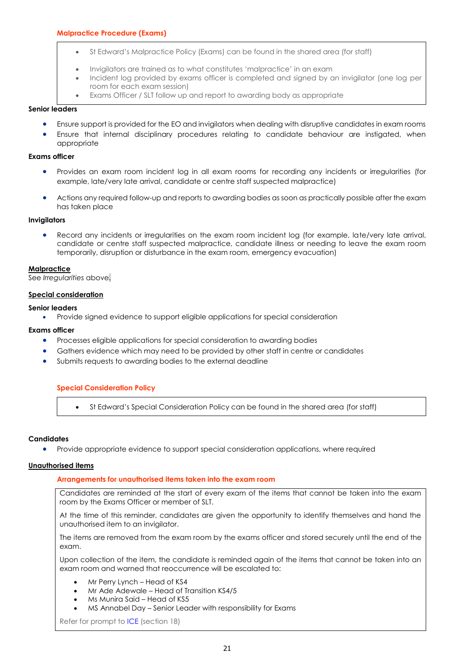- St Edward's Malpractice Policy (Exams) can be found in the shared area (for staff)
- Invigilators are trained as to what constitutes 'malpractice' in an exam
- Incident log provided by exams officer is completed and signed by an invigilator (one log per room for each exam session)
- Exams Officer / SLT follow up and report to awarding body as appropriate

#### **Senior leaders**

- Ensure support is provided for the EO and invigilators when dealing with disruptive candidates in exam rooms
- Ensure that internal disciplinary procedures relating to candidate behaviour are instigated, when appropriate

#### **Exams officer**

- Provides an exam room incident log in all exam rooms for recording any incidents or irregularities (for example, late/very late arrival, candidate or centre staff suspected malpractice)
- Actions any required follow-up and reports to awarding bodies as soon as practically possible after the exam has taken place

#### **Invigilators**

• Record any incidents or irregularities on the exam room incident log (for example, late/very late arrival, candidate or centre staff suspected malpractice, candidate illness or needing to leave the exam room temporarily, disruption or disturbance in the exam room, emergency evacuation)

#### <span id="page-20-0"></span>**Malpractice**

## <span id="page-20-1"></span>See *Irregularities* above.

## **Special consideration**

## **Senior leaders**

• Provide signed evidence to support eligible applications for special consideration

## **Exams officer**

- Processes eligible applications for special consideration to awarding bodies
- Gathers evidence which may need to be provided by other staff in centre or candidates
- <span id="page-20-2"></span>• Submits requests to awarding bodies to the external deadline

## **Special Consideration Policy**

• St Edward's Special Consideration Policy can be found in the shared area (for staff)

## **Candidates**

• Provide appropriate evidence to support special consideration applications, where required

## <span id="page-20-4"></span><span id="page-20-3"></span>**Unauthorised items**

## **Arrangements for unauthorised items taken into the exam room**

Candidates are reminded at the start of every exam of the items that cannot be taken into the exam room by the Exams Officer or member of SLT.

At the time of this reminder, candidates are given the opportunity to identify themselves and hand the unauthorised item to an invigilator.

The items are removed from the exam room by the exams officer and stored securely until the end of the exam.

Upon collection of the item, the candidate is reminded again of the items that cannot be taken into an exam room and warned that reoccurrence will be escalated to:

- Mr Perry Lynch Head of KS4
- Mr Ade Adewale Head of Transition KS4/5
- Ms Munira Said Head of KS5
- MS Annabel Day Senior Leader with responsibility for Exams

Refer for prompt to [ICE](http://www.jcq.org.uk/exams-office/ice---instructions-for-conducting-examinations) (section 18)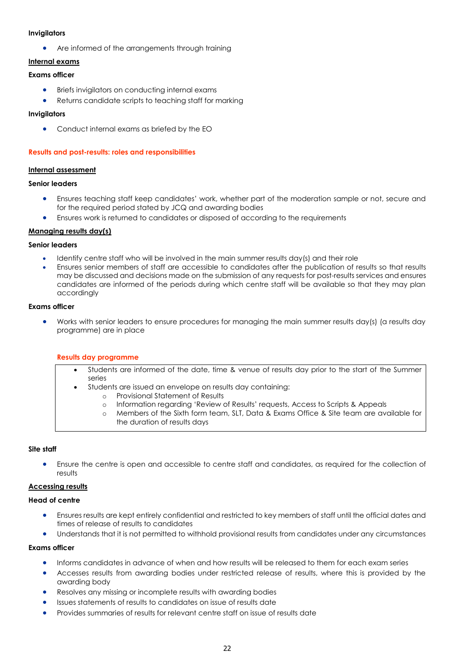## **Invigilators**

Are informed of the arrangements through training

# <span id="page-21-0"></span>**Internal exams**

## **Exams officer**

- Briefs invigilators on conducting internal exams
- Returns candidate scripts to teaching staff for marking

## **Invigilators**

• Conduct internal exams as briefed by the EO

## <span id="page-21-1"></span>**Results and post-results: roles and responsibilities**

## <span id="page-21-2"></span>**Internal assessment**

## **Senior leaders**

- Ensures teaching staff keep candidates' work, whether part of the moderation sample or not, secure and for the required period stated by JCQ and awarding bodies
- Ensures work is returned to candidates or disposed of according to the requirements

## <span id="page-21-3"></span>**Managing results day(s)**

## **Senior leaders**

- Identify centre staff who will be involved in the main summer results day(s) and their role
- Ensures senior members of staff are accessible to candidates after the publication of results so that results may be discussed and decisions made on the submission of any requests for post-results services and ensures candidates are informed of the periods during which centre staff will be available so that they may plan accordingly

## **Exams officer**

<span id="page-21-4"></span>• Works with senior leaders to ensure procedures for managing the main summer results day(s) (a results day programme) are in place

## **Results day programme**

- Students are informed of the date, time & venue of results day prior to the start of the Summer series
	- Students are issued an envelope on results day containing:
		- o Provisional Statement of Results
		- o Information regarding 'Review of Results' requests, Access to Scripts & Appeals
		- o Members of the Sixth form team, SLT, Data & Exams Office & Site team are available for the duration of results days

## **Site staff**

• Ensure the centre is open and accessible to centre staff and candidates, as required for the collection of results

## <span id="page-21-5"></span>**Accessing results**

## **Head of centre**

- Ensures results are kept entirely confidential and restricted to key members of staff until the official dates and times of release of results to candidates
- Understands that it is not permitted to withhold provisional results from candidates under any circumstances

- Informs candidates in advance of when and how results will be released to them for each exam series
- Accesses results from awarding bodies under restricted release of results, where this is provided by the awarding body
- Resolves any missing or incomplete results with awarding bodies
- Issues statements of results to candidates on issue of results date
- Provides summaries of results for relevant centre staff on issue of results date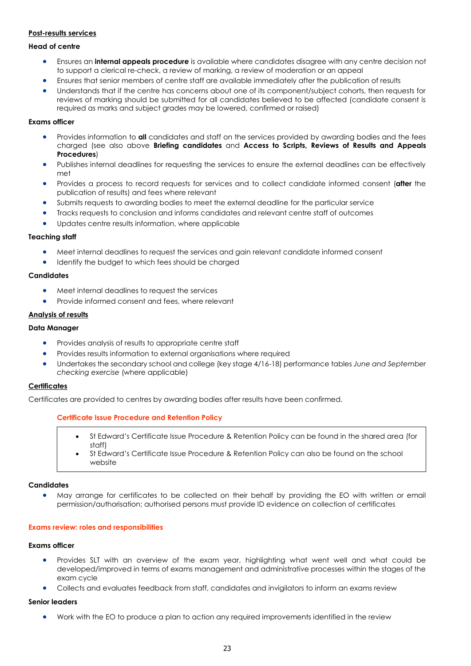# <span id="page-22-0"></span>**Post-results services**

## **Head of centre**

- Ensures an **internal appeals procedure** is available where candidates disagree with any centre decision not to support a clerical re-check, a review of marking, a review of moderation or an appeal
- Ensures that senior members of centre staff are available immediately after the publication of results
- Understands that if the centre has concerns about one of its component/subject cohorts, then requests for reviews of marking should be submitted for all candidates believed to be affected (candidate consent is required as marks and subject grades may be lowered, confirmed or raised)

## **Exams officer**

- Provides information to **all** candidates and staff on the services provided by awarding bodies and the fees charged (see also above **Briefing candidates** and **Access to Scripts, Reviews of Results and Appeals Procedures**)
- Publishes internal deadlines for requesting the services to ensure the external deadlines can be effectively met
- Provides a process to record requests for services and to collect candidate informed consent (**after** the publication of results) and fees where relevant
- Submits requests to awarding bodies to meet the external deadline for the particular service
- Tracks requests to conclusion and informs candidates and relevant centre staff of outcomes
- Updates centre results information, where applicable

#### **Teaching staff**

- Meet internal deadlines to request the services and gain relevant candidate informed consent
- Identify the budget to which fees should be charged

#### **Candidates**

- Meet internal deadlines to request the services
- Provide informed consent and fees, where relevant

## <span id="page-22-1"></span>**Analysis of results**

#### **Data Manager**

- Provides analysis of results to appropriate centre staff
- Provides results information to external organisations where required
- Undertakes the secondary school and college (key stage 4/16-18) performance tables *June and September checking exercise* (where applicable)

#### <span id="page-22-2"></span>**Certificates**

<span id="page-22-3"></span>Certificates are provided to centres by awarding bodies after results have been confirmed.

## **Certificate Issue Procedure and Retention Policy**

- St Edward's Certificate Issue Procedure & Retention Policy can be found in the shared area (for staff)
- St Edward's Certificate Issue Procedure & Retention Policy can also be found on the school website

#### **Candidates**

• May arrange for certificates to be collected on their behalf by providing the EO with written or email permission/authorisation; authorised persons must provide ID evidence on collection of certificates

#### <span id="page-22-4"></span>**Exams review: roles and responsibilities**

#### **Exams officer**

- Provides SLT with an overview of the exam year, highlighting what went well and what could be developed/improved in terms of exams management and administrative processes within the stages of the exam cycle
- Collects and evaluates feedback from staff, candidates and invigilators to inform an exams review

#### **Senior leaders**

• Work with the EO to produce a plan to action any required improvements identified in the review